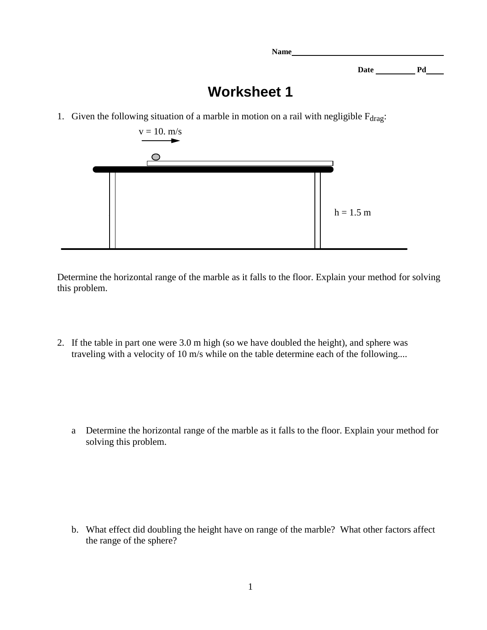Date <u>Pd</u>

## **Worksheet 1**

**Name**

1. Given the following situation of a marble in motion on a rail with negligible  $F_{drag}$ :



Determine the horizontal range of the marble as it falls to the floor. Explain your method for solving this problem.

2. If the table in part one were 3.0 m high (so we have doubled the height), and sphere was traveling with a velocity of 10 m/s while on the table determine each of the following....

a Determine the horizontal range of the marble as it falls to the floor. Explain your method for solving this problem.

b. What effect did doubling the height have on range of the marble? What other factors affect the range of the sphere?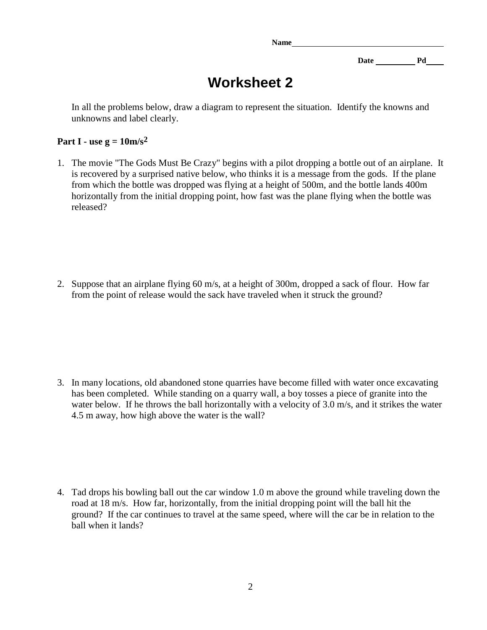**Name**

Date <u>Pd</u>

## **Worksheet 2**

In all the problems below, draw a diagram to represent the situation. Identify the knowns and unknowns and label clearly.

## Part I **- use g =**  $10 \text{m/s}^2$

1. The movie "The Gods Must Be Crazy" begins with a pilot dropping a bottle out of an airplane. It is recovered by a surprised native below, who thinks it is a message from the gods. If the plane from which the bottle was dropped was flying at a height of 500m, and the bottle lands 400m horizontally from the initial dropping point, how fast was the plane flying when the bottle was released?

2. Suppose that an airplane flying 60 m/s, at a height of 300m, dropped a sack of flour. How far from the point of release would the sack have traveled when it struck the ground?

3. In many locations, old abandoned stone quarries have become filled with water once excavating has been completed. While standing on a quarry wall, a boy tosses a piece of granite into the water below. If he throws the ball horizontally with a velocity of 3.0 m/s, and it strikes the water 4.5 m away, how high above the water is the wall?

4. Tad drops his bowling ball out the car window 1.0 m above the ground while traveling down the road at 18 m/s. How far, horizontally, from the initial dropping point will the ball hit the ground? If the car continues to travel at the same speed, where will the car be in relation to the ball when it lands?